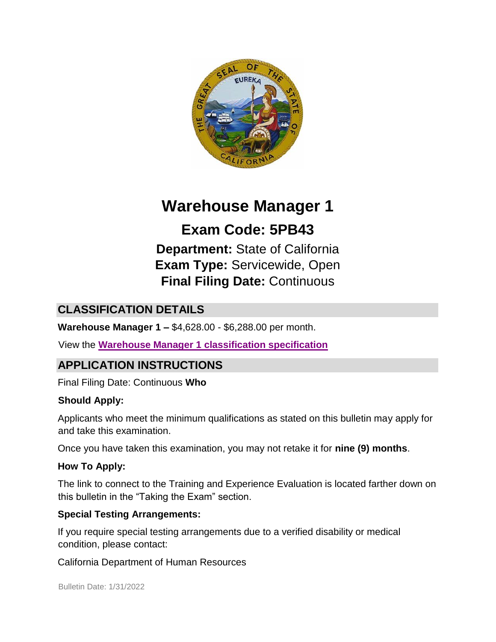

# **Warehouse Manager 1**

**Exam Code: 5PB43 Department:** State of California **Exam Type:** Servicewide, Open **Final Filing Date:** Continuous

# **CLASSIFICATION DETAILS**

**Warehouse Manager 1 –** \$4,628.00 - \$6,288.00 per month.

View the **[Warehouse Manager 1](http://calhr.ca.gov/state-hr-professionals/pages/1506.aspx) [classification specification](http://calhr.ca.gov/state-hr-professionals/pages/1506.aspx)**

# **APPLICATION INSTRUCTIONS**

Final Filing Date: Continuous **Who** 

#### **Should Apply:**

Applicants who meet the minimum qualifications as stated on this bulletin may apply for and take this examination.

Once you have taken this examination, you may not retake it for **nine (9) months**.

#### **How To Apply:**

The link to connect to the Training and Experience Evaluation is located farther down on this bulletin in the "Taking the Exam" section.

#### **Special Testing Arrangements:**

If you require special testing arrangements due to a verified disability or medical condition, please contact:

California Department of Human Resources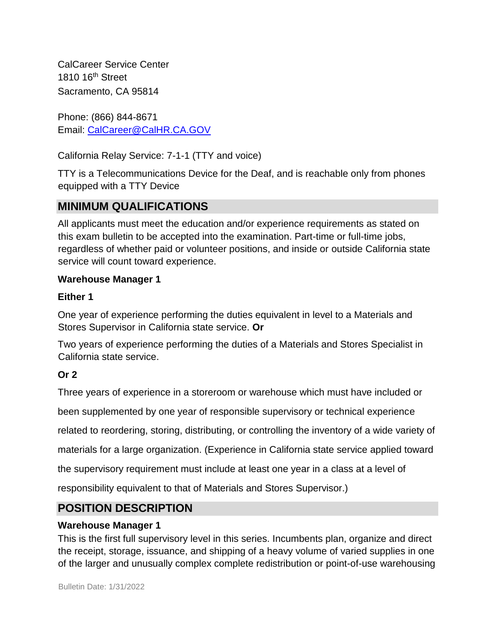CalCareer Service Center 1810 16<sup>th</sup> Street Sacramento, CA 95814

Phone: (866) 844-8671 Email: CalCareer@CalHR.CA.GOV

California Relay Service: 7-1-1 (TTY and voice)

TTY is a Telecommunications Device for the Deaf, and is reachable only from phones equipped with a TTY Device

# **MINIMUM QUALIFICATIONS**

All applicants must meet the education and/or experience requirements as stated on this exam bulletin to be accepted into the examination. Part-time or full-time jobs, regardless of whether paid or volunteer positions, and inside or outside California state service will count toward experience.

### **Warehouse Manager 1**

#### **Either 1**

One year of experience performing the duties equivalent in level to a Materials and Stores Supervisor in California state service. **Or**

Two years of experience performing the duties of a Materials and Stores Specialist in California state service.

## **Or 2**

Three years of experience in a storeroom or warehouse which must have included or

been supplemented by one year of responsible supervisory or technical experience

related to reordering, storing, distributing, or controlling the inventory of a wide variety of

materials for a large organization. (Experience in California state service applied toward

the supervisory requirement must include at least one year in a class at a level of

responsibility equivalent to that of Materials and Stores Supervisor.)

# **POSITION DESCRIPTION**

#### **Warehouse Manager 1**

This is the first full supervisory level in this series. Incumbents plan, organize and direct the receipt, storage, issuance, and shipping of a heavy volume of varied supplies in one of the larger and unusually complex complete redistribution or point-of-use warehousing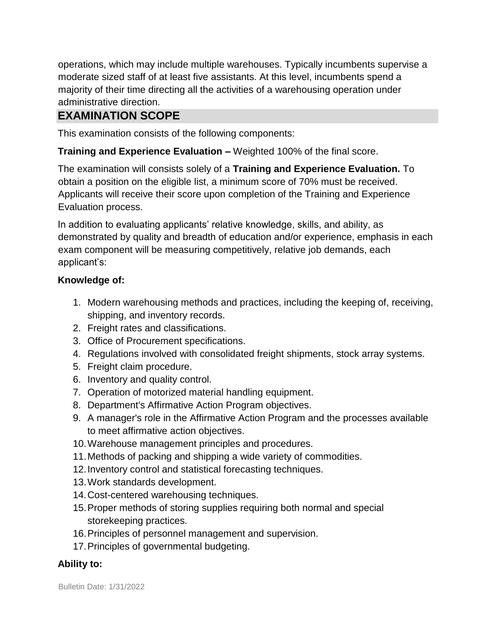operations, which may include multiple warehouses. Typically incumbents supervise a moderate sized staff of at least five assistants. At this level, incumbents spend a majority of their time directing all the activities of a warehousing operation under administrative direction.

## **EXAMINATION SCOPE**

This examination consists of the following components:

**Training and Experience Evaluation –** Weighted 100% of the final score.

The examination will consists solely of a **Training and Experience Evaluation.** To obtain a position on the eligible list, a minimum score of 70% must be received. Applicants will receive their score upon completion of the Training and Experience Evaluation process.

In addition to evaluating applicants' relative knowledge, skills, and ability, as demonstrated by quality and breadth of education and/or experience, emphasis in each exam component will be measuring competitively, relative job demands, each applicant's:

#### **Knowledge of:**

- 1. Modern warehousing methods and practices, including the keeping of, receiving, shipping, and inventory records.
- 2. Freight rates and classifications.
- 3. Office of Procurement specifications.
- 4. Regulations involved with consolidated freight shipments, stock array systems.
- 5. Freight claim procedure.
- 6. Inventory and quality control.
- 7. Operation of motorized material handling equipment.
- 8. Department's Affirmative Action Program objectives.
- 9. A manager's role in the Affirmative Action Program and the processes available to meet affirmative action objectives.
- 10.Warehouse management principles and procedures.
- 11.Methods of packing and shipping a wide variety of commodities.
- 12.Inventory control and statistical forecasting techniques.
- 13.Work standards development.
- 14.Cost-centered warehousing techniques.
- 15.Proper methods of storing supplies requiring both normal and special storekeeping practices.
- 16.Principles of personnel management and supervision.
- 17.Principles of governmental budgeting.

#### **Ability to:**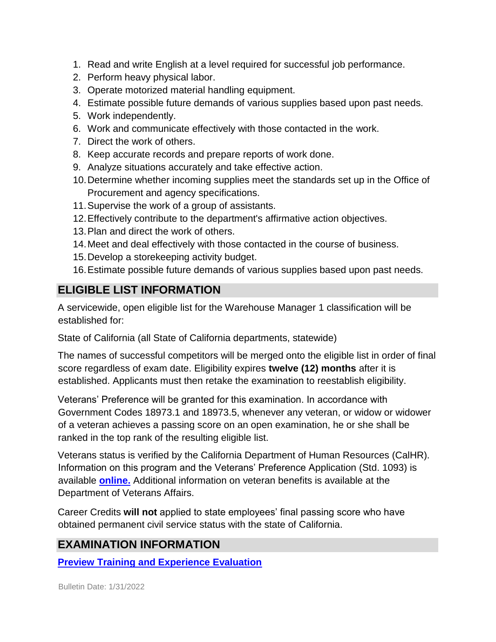- 1. Read and write English at a level required for successful job performance.
- 2. Perform heavy physical labor.
- 3. Operate motorized material handling equipment.
- 4. Estimate possible future demands of various supplies based upon past needs.
- 5. Work independently.
- 6. Work and communicate effectively with those contacted in the work.
- 7. Direct the work of others.
- 8. Keep accurate records and prepare reports of work done.
- 9. Analyze situations accurately and take effective action.
- 10.Determine whether incoming supplies meet the standards set up in the Office of Procurement and agency specifications.
- 11.Supervise the work of a group of assistants.
- 12.Effectively contribute to the department's affirmative action objectives.
- 13.Plan and direct the work of others.
- 14.Meet and deal effectively with those contacted in the course of business.
- 15.Develop a storekeeping activity budget.
- 16.Estimate possible future demands of various supplies based upon past needs.

# **ELIGIBLE LIST INFORMATION**

A servicewide, open eligible list for the Warehouse Manager 1 classification will be established for:

State of California (all State of California departments, statewide)

The names of successful competitors will be merged onto the eligible list in order of final score regardless of exam date. Eligibility expires **twelve (12) months** after it is established. Applicants must then retake the examination to reestablish eligibility.

Veterans' Preference will be granted for this examination. In accordance with Government Codes 18973.1 and 18973.5, whenever any veteran, or widow or widower of a veteran achieves a passing score on an open examination, he or she shall be ranked in the top rank of the resulting eligible list.

Veterans status is verified by the California Department of Human Resources (CalHR). Information on this program and the Veterans' Preference Application (Std. 1093) is available **[online.](https://www.jobs.ca.gov/CalHRPublic/Landing/Jobs/VeteransInformation.aspx)** [A](https://www.jobs.ca.gov/CalHRPublic/Landing/Jobs/VeteransInformation.aspx)dditional information on veteran benefits is available at the Department of Veterans Affairs.

Career Credits **will not** applied to state employees' final passing score who have obtained permanent civil service status with the state of California.

# **EXAMINATION INFORMATION**

**[Preview Training and Experience Evaluation](https://jobs.ca.gov/jobsgen/5PB43d.pdf)**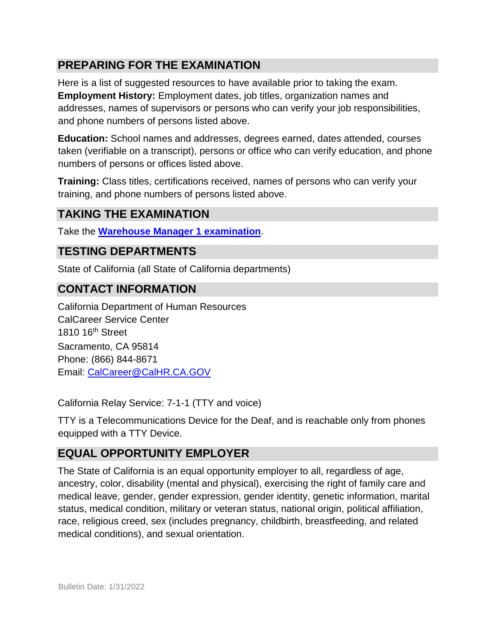## **PREPARING FOR THE EXAMINATION**

Here is a list of suggested resources to have available prior to taking the exam. **Employment History:** Employment dates, job titles, organization names and addresses, names of supervisors or persons who can verify your job responsibilities, and phone numbers of persons listed above.

**Education:** School names and addresses, degrees earned, dates attended, courses taken (verifiable on a transcript), persons or office who can verify education, and phone numbers of persons or offices listed above.

**Training:** Class titles, certifications received, names of persons who can verify your training, and phone numbers of persons listed above.

## **TAKING THE EXAMINATION**

Take the **[Warehouse Manager 1](https://www.jobs.ca.gov/CalHRPublic/Login.aspx?ExamId=5PB43) [examination](https://www.jobs.ca.gov/CalHRPublic/Login.aspx?ExamId=5PB43)**[.](https://www.jobs.ca.gov/CalHRPublic/Login.aspx?ExamId=5PB43)

#### **TESTING DEPARTMENTS**

State of California (all State of California departments)

#### **CONTACT INFORMATION**

California Department of Human Resources CalCareer Service Center 1810 16th Street Sacramento, CA 95814 Phone: (866) 844-8671 Email: CalCareer@CalHR.CA.GOV

California Relay Service: 7-1-1 (TTY and voice)

TTY is a Telecommunications Device for the Deaf, and is reachable only from phones equipped with a TTY Device.

#### **EQUAL OPPORTUNITY EMPLOYER**

The State of California is an equal opportunity employer to all, regardless of age, ancestry, color, disability (mental and physical), exercising the right of family care and medical leave, gender, gender expression, gender identity, genetic information, marital status, medical condition, military or veteran status, national origin, political affiliation, race, religious creed, sex (includes pregnancy, childbirth, breastfeeding, and related medical conditions), and sexual orientation.